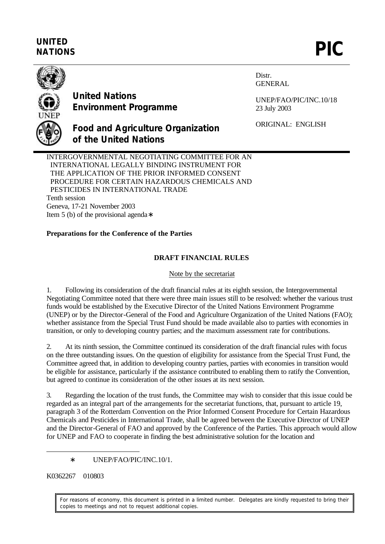# **UNITED** UNITED<br>NATIONS **PIC**



**United Nations Environment Programme**

**of the United Nations**

Distr. GENERAL

UNEP/FAO/PIC/INC.10/18 23 July 2003

ORIGINAL: ENGLISH

INTERGOVERNMENTAL NEGOTIATING COMMITTEE FOR AN INTERNATIONAL LEGALLY BINDING INSTRUMENT FOR THE APPLICATION OF THE PRIOR INFORMED CONSENT PROCEDURE FOR CERTAIN HAZARDOUS CHEMICALS AND PESTICIDES IN INTERNATIONAL TRADE Tenth session Geneva, 17-21 November 2003 Item 5 (b) of the provisional agenda∗

**Food and Agriculture Organization**

# **Preparations for the Conference of the Parties**

# **DRAFT FINANCIAL RULES**

## Note by the secretariat

1. Following its consideration of the draft financial rules at its eighth session, the Intergovernmental Negotiating Committee noted that there were three main issues still to be resolved: whether the various trust funds would be established by the Executive Director of the United Nations Environment Programme (UNEP) or by the Director-General of the Food and Agriculture Organization of the United Nations (FAO); whether assistance from the Special Trust Fund should be made available also to parties with economies in transition, or only to developing country parties; and the maximum assessment rate for contributions.

2. At its ninth session, the Committee continued its consideration of the draft financial rules with focus on the three outstanding issues. On the question of eligibility for assistance from the Special Trust Fund, the Committee agreed that, in addition to developing country parties, parties with economies in transition would be eligible for assistance, particularly if the assistance contributed to enabling them to ratify the Convention, but agreed to continue its consideration of the other issues at its next session.

3. Regarding the location of the trust funds, the Committee may wish to consider that this issue could be regarded as an integral part of the arrangements for the secretariat functions, that, pursuant to article 19, paragraph 3 of the Rotterdam Convention on the Prior Informed Consent Procedure for Certain Hazardous Chemicals and Pesticides in International Trade, shall be agreed between the Executive Director of UNEP and the Director-General of FAO and approved by the Conference of the Parties. This approach would allow for UNEP and FAO to cooperate in finding the best administrative solution for the location and

∗ UNEP/FAO/PIC/INC.10/1.

K0362267 010803

 $\overline{a}$ 

For reasons of economy, this document is printed in a limited number. Delegates are kindly requested to bring their copies to meetings and not to request additional copies.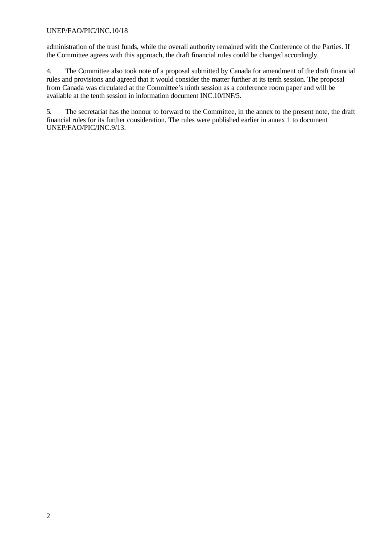## UNEP/FAO/PIC/INC.10/18

administration of the trust funds, while the overall authority remained with the Conference of the Parties. If the Committee agrees with this approach, the draft financial rules could be changed accordingly.

4. The Committee also took note of a proposal submitted by Canada for amendment of the draft financial rules and provisions and agreed that it would consider the matter further at its tenth session. The proposal from Canada was circulated at the Committee's ninth session as a conference room paper and will be available at the tenth session in information document INC.10/INF/5.

5. The secretariat has the honour to forward to the Committee, in the annex to the present note, the draft financial rules for its further consideration. The rules were published earlier in annex 1 to document UNEP/FAO/PIC/INC.9/13.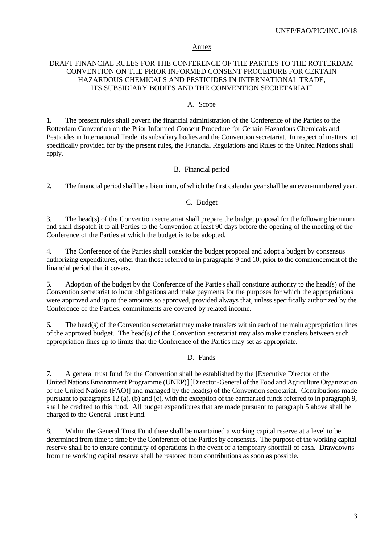#### Annex

## DRAFT FINANCIAL RULES FOR THE CONFERENCE OF THE PARTIES TO THE ROTTERDAM CONVENTION ON THE PRIOR INFORMED CONSENT PROCEDURE FOR CERTAIN HAZARDOUS CHEMICALS AND PESTICIDES IN INTERNATIONAL TRADE, ITS SUBSIDIARY BODIES AND THE CONVENTION SECRETARIAT<sup>\*</sup>

## A. Scope

1. The present rules shall govern the financial administration of the Conference of the Parties to the Rotterdam Convention on the Prior Informed Consent Procedure for Certain Hazardous Chemicals and Pesticides in International Trade, its subsidiary bodies and the Convention secretariat. In respect of matters not specifically provided for by the present rules, the Financial Regulations and Rules of the United Nations shall apply.

#### B. Financial period

2. The financial period shall be a biennium, of which the first calendar year shall be an even-numbered year.

# C. Budget

3. The head(s) of the Convention secretariat shall prepare the budget proposal for the following biennium and shall dispatch it to all Parties to the Convention at least 90 days before the opening of the meeting of the Conference of the Parties at which the budget is to be adopted.

4. The Conference of the Parties shall consider the budget proposal and adopt a budget by consensus authorizing expenditures, other than those referred to in paragraphs 9 and 10, prior to the commencement of the financial period that it covers.

5. Adoption of the budget by the Conference of the Partie s shall constitute authority to the head(s) of the Convention secretariat to incur obligations and make payments for the purposes for which the appropriations were approved and up to the amounts so approved, provided always that, unless specifically authorized by the Conference of the Parties, commitments are covered by related income.

6. The head(s) of the Convention secretariat may make transfers within each of the main appropriation lines of the approved budget. The head(s) of the Convention secretariat may also make transfers between such appropriation lines up to limits that the Conference of the Parties may set as appropriate.

## D. Funds

7. A general trust fund for the Convention shall be established by the [Executive Director of the United Nations Environment Programme (UNEP)] [Director-General of the Food and Agriculture Organization of the United Nations (FAO)] and managed by the head(s) of the Convention secretariat. Contributions made pursuant to paragraphs 12 (a), (b) and (c), with the exception of the earmarked funds referred to in paragraph 9, shall be credited to this fund. All budget expenditures that are made pursuant to paragraph 5 above shall be charged to the General Trust Fund.

8. Within the General Trust Fund there shall be maintained a working capital reserve at a level to be determined from time to time by the Conference of the Parties by consensus. The purpose of the working capital reserve shall be to ensure continuity of operations in the event of a temporary shortfall of cash. Drawdowns from the working capital reserve shall be restored from contributions as soon as possible.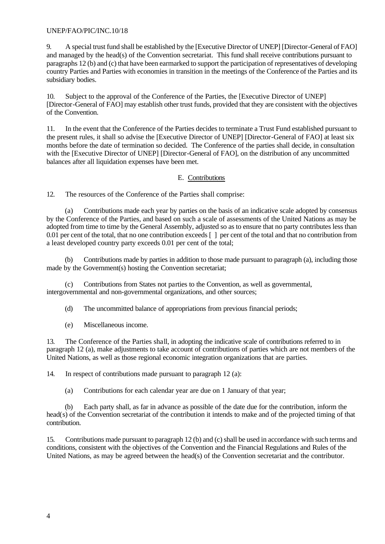## UNEP/FAO/PIC/INC.10/18

9. A special trust fund shall be established by the [Executive Director of UNEP] [Director-General of FAO] and managed by the head(s) of the Convention secretariat. This fund shall receive contributions pursuant to paragraphs 12 (b) and (c) that have been earmarked to support the participation of representatives of developing country Parties and Parties with economies in transition in the meetings of the Conference of the Parties and its subsidiary bodies.

10. Subject to the approval of the Conference of the Parties, the [Executive Director of UNEP] [Director-General of FAO] may establish other trust funds, provided that they are consistent with the objectives of the Convention.

11. In the event that the Conference of the Parties decides to terminate a Trust Fund established pursuant to the present rules, it shall so advise the [Executive Director of UNEP] [Director-General of FAO] at least six months before the date of termination so decided. The Conference of the parties shall decide, in consultation with the [Executive Director of UNEP] [Director-General of FAO], on the distribution of any uncommitted balances after all liquidation expenses have been met.

## E. Contributions

12. The resources of the Conference of the Parties shall comprise:

(a) Contributions made each year by parties on the basis of an indicative scale adopted by consensus by the Conference of the Parties, and based on such a scale of assessments of the United Nations as may be adopted from time to time by the General Assembly, adjusted so as to ensure that no party contributes less than 0.01 per cent of the total, that no one contribution exceeds  $\lceil \cdot \rceil$  per cent of the total and that no contribution from a least developed country party exceeds 0.01 per cent of the total;

(b) Contributions made by parties in addition to those made pursuant to paragraph (a), including those made by the Government(s) hosting the Convention secretariat;

(c) Contributions from States not parties to the Convention, as well as governmental, intergovernmental and non-governmental organizations, and other sources;

(d) The uncommitted balance of appropriations from previous financial periods;

(e) Miscellaneous income.

13. The Conference of the Parties shall, in adopting the indicative scale of contributions referred to in paragraph 12 (a), make adjustments to take account of contributions of parties which are not members of the United Nations, as well as those regional economic integration organizations that are parties.

14. In respect of contributions made pursuant to paragraph 12 (a):

(a) Contributions for each calendar year are due on 1 January of that year;

(b) Each party shall, as far in advance as possible of the date due for the contribution, inform the head(s) of the Convention secretariat of the contribution it intends to make and of the projected timing of that contribution.

15. Contributions made pursuant to paragraph 12 (b) and (c) shall be used in accordance with such terms and conditions, consistent with the objectives of the Convention and the Financial Regulations and Rules of the United Nations, as may be agreed between the head(s) of the Convention secretariat and the contributor.